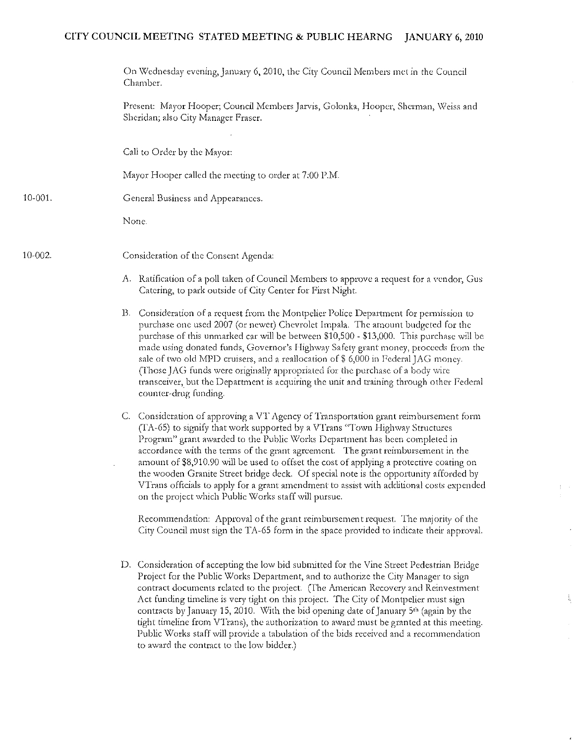## CITY COUNCIL MEETING STATED MEETING & PUBLIC HEARNG JANUARY 6, 2010

|              | On Wednesday evening, January 6, 2010, the City Council Members met in the Council<br>Chamber.                                                                                                                                                                                    |
|--------------|-----------------------------------------------------------------------------------------------------------------------------------------------------------------------------------------------------------------------------------------------------------------------------------|
|              | Present: Mayor Hooper; Council Members Jarvis, Golonka, Hooper, Sherman, Weiss and<br>Sheridan; also City Manager Fraser.                                                                                                                                                         |
|              | Call to Order by the Mayor:                                                                                                                                                                                                                                                       |
|              | Mayor Hooper called the meeting to order at 7:00 P.M.                                                                                                                                                                                                                             |
| 10-001.      | General Business and Appearances.                                                                                                                                                                                                                                                 |
|              | None.                                                                                                                                                                                                                                                                             |
| $10 - 002$ . | Consideration of the Consent Agenda:                                                                                                                                                                                                                                              |
|              | A. Ratification of a poll taken of Council Members to approve a request for a vendor, Gus<br>Catering, to park outside of City Center for First Night.                                                                                                                            |
|              | Consideration of a request from the Montpelier Police Department for permission to<br>$\mathbf{B}$<br>purchase one used 2007 (or newer) Chevrolet Impala. The amount budgeted for the<br>purchase of this unmarked car will be between \$10,500 - \$13,000. This purchase will be |

- made using donated funds, Governor's Highway Safety grant money, proceeds from the sale of two old MPD cruisers, and a reallocation of  $$ 6,000$  in Federal JAG money. (Those JAG funds were originally appropriated for the purchase of a body wire transceiver, but the Department is acquiring the unit and training through other Federal counter-drug funding.
- C. Consideration of approving a VT Agency of Transportation grant reimbursement form  $(TA-65)$  to signify that work supported by a VTrans "Town Highway Structures" Program" grant awarded to the Public Works Department has been completed in accordance with the terms of the grant agreement. The grant reimbursement in the amount of \$8,910.90 will be used to offset the cost of applying a protective coating on the wooden Granite Street bridge deck, Of special note is the opportunity afforded by VTrans officials to apply for a grant amendment to assist with additional costs expended on the project which Public Works staff will pursue.

Recommendation: Approval of the grant reimbursement request. The majority of the City Council must sign the TA-65 form in the space provided to indicate their approval.

D. Consideration of accepting the low bid submitted fot the Vine Street Pedestrian Bridge Project for the Public Works Department, and to authorize the City Manager to sign contract documents related to the project. (The American Recovery and Reinvestment Act funding timeline is very tight on this project. The City of Montpelier must sign contracts by January 15, 2010. With the bid opening date of January 5<sup>th</sup> (again by the tight timeline from VTrans), the authorization to award must be granted at this meeting. Public Works staff will provide a tabulation of the bids received and a recommendation to award the contract to the low bidder.)

ţ,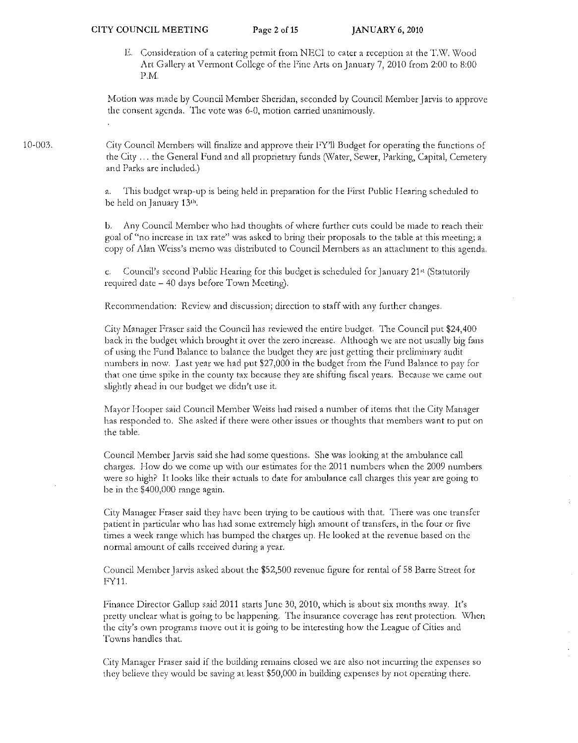E. Consideration of a catering permit from NECI to cater a reception at the T.W. Wood Art Gallery at Vermont College of the Fine Arts on January 7, 2010 from 2:00 to 8:00 P.M.

Motion was made by Council Member Sheridan, seconded by Council Member Jarvis to approve the consent agenda. '1'he vote was 6-0, motion carried unanimously.

City Council Members will finalize and approve their FY'll Budget for operating the functions of the City ... the General Fund and all proprietary funds (Water, Sewer, Parking, Capital, Cemetery and Parks arc included.)

> a. This budget wrap-up is being held in preparation for the First Public Hearing scheduled to be held on January 13<sup>th</sup>.

b. Any Council Member who had thoughts of where further cuts could be made to reach their goal of "no increase in tax rate" was asked to bring their proposals to the table at this meeting; a copy of Alan Weiss's memo was distributed to Council Members as an attachment to this agenda.

c. Council's second Public Hearing for this budget is scheduled for January 21<sup>st</sup> (Statutorily required date - 40 days before Town Meeting).

Recommendation: Review and discussion; direction to staff with any further changes.

Cit)' Manager Fraser said the Council has reviewed the entire budget. The Council put \$24,400 back in the budget which brought it over the zero increase. Although we arc not usually big fans of using the Fund Balance to balance the budget they are just getting their preliminary audit numbers in now. Last year we had put \$27,000 in the budget from the Fund Balance to pay for that one time spike in the county tax because they are shifting fiscal years. Because we came out slightly ahead in out budget we didn't use it.

Mayor Hooper said Council Member Weiss had raised a number of items that the City Manager has responded to. She asked if there were other issues or thoughts that members want to put on the table.

Council Member Jarvis said she had some questions. She was looking at the ambulance call chargcs, How do we come up with our estimates for the 2011 numbers when the 2009 numbers were so high? It looks like their actuals to date for ambulance call charges this year are going to be in the \$400,000 range again,

City Manager Fraser said they have been trying to be cautious with that. There was one transfer patient in particular who has had some extremely high amount of transfers, in the four or five times a week range which has bumped the charges up. He looked at the revenue based on the normal amount of calls received during a year.

Council Member Jarvis asked about the \$52,500 revenue figure for rental of 58 Barre Street for FY11.

Finance Director Gallup said 2011 starts June 30, 2010, which is about six months away. It's pretty unclear what is going to be happening. The insurance coverage has rent protection. When the cily's own programs move out it is going to be interesting how the League of Cities and Towns handles that.

City Manager Fraser said if the building remains closed we are also not incurring the expenses so they believe they would be saving at least  $$50,000$  in building expenses by not operating there.

10-003.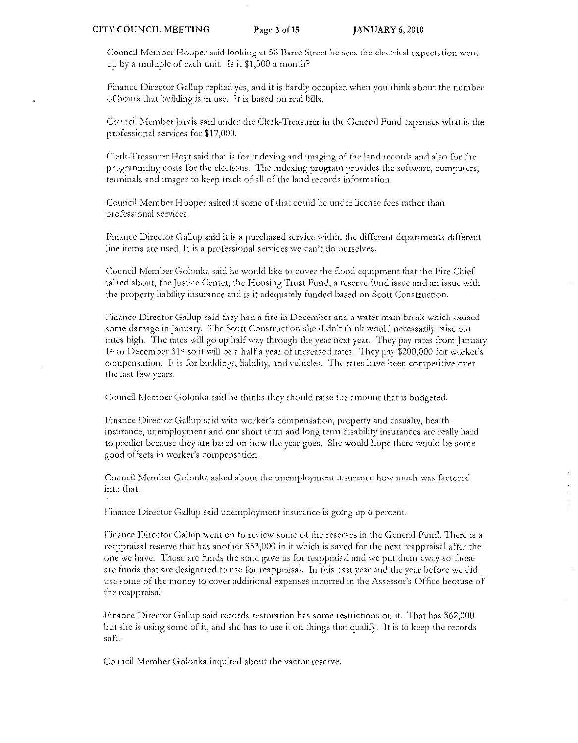Council Member Hooper said looking at 58 Barre Street he sees the electrical expectation went up by a multiple of each unit. Is it \$1,500 a month?

Finance Director Gallup replied yes, and it is hardly occupied when you think about the number of hours that building is in usc. It is based on real bills.

Council Member Jarvis said under the Clerk-Treasurer in the General Fund expenses what is the professional services for \$17,000.

Clerk-Treasurer Hoyt said that is for indexing and imaging of the land records and also for the programming costs for the elections. The indexing program provides the software, computers, terminals and imager to keep track of all of the land records information.

Council Member Hooper asked if some of that could be under license fees rather than professional services.

Finance Director: Gallup said it is a purchased service within the different departments different line items are used. It is a professional services we can't do ourselves.

Council Member Golonka said he would like to cover the flood equipment that the Fire Chief talked about, the Justice Center, the Housing Trust Fund, a reserve fund issue and an issue with the property liability insurance and is it adequately funded based on Scott Construction.

Finance Director Gallup said they had a fire in December and a water main break which caused some damage in January. The Scott Construction she didn't think would necessarily raise our rates high. The rates will go up half way through the year next year. They pay rates from January  $1<sup>st</sup>$  to December 31<sup> $st$ </sup> so it will be a half a year of increased rates. They pay \$200,000 for worker's compensation. It is for buildings, liability, and vehicles. The rates have been competitive over the last few years.

Council Member Golonka said he thinks they should raise the amount that is budgeted.

Finance Director Gallup said with worker's compensation, property and casualty, health insurance) unemployment and out short term and long term disability insurances are really hard to predict because they are based on how the year goes. She would hope there would be some good offsets in worker's compensation.

Council Member Golonka asked about the unemployment insurance how much was factored into that.

Finance Director Gallup said unemployment insurance is going up 6 percent.

Finance Director Gallup went on to review some of the reserves in the General F'und. There is a reappraisal reserve that has another \$53,000 in it which is saved for the next reappraisal after the one we have. Those are funds the state gave us for reappraisal and we put them away so those are funds that are designated to usc for reappraisal. In this past year and the year before we did use some of the money to cover additional expenses incurred in the Assessor's Office because of the reappraisal.

Finance Director Gallup said records restoration has some restrictions on it. That has \$62,000 but she is using some of it, and she has to use it on things that qualify. It is to keep the records safe.

Council Member Golonka inquired about the vactor reserve.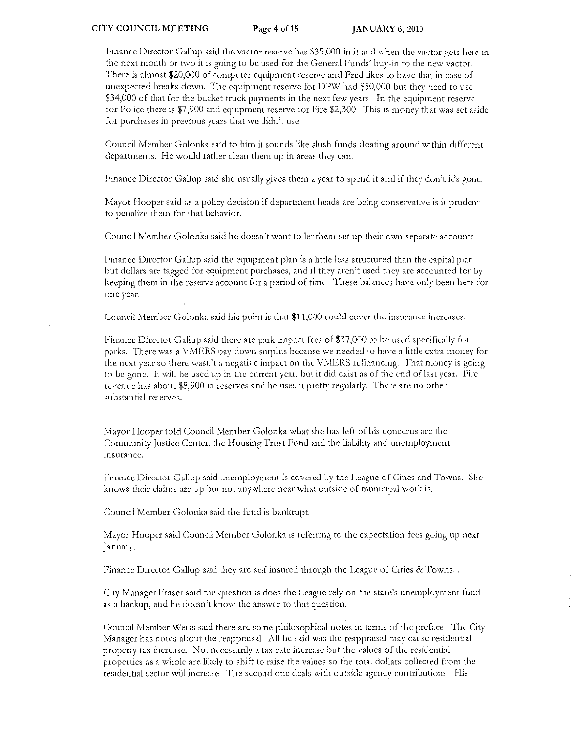Finance Director Gallup said the vactor reserve has \$35,000 in it and when the vactor gets here in the next month or two it is going to be used for the General Funds' buy-in to the new vactor. There is almost \$20,000 of computer equipment reserve and Fred likes to have that in case or unexpected breaks down. The equipment reserve for DPW had \$50,000 but they need to usc \$34,000 of that for the bucket truck payments in the next few years. In the equipment reserve for Police there is  $$7,900$  and equipment reserve for Fire  $$2,300$ . This is money that was set aside for purchases in previous years that we didn't usc.

Council Member Golonka said to him it sounds like slush funds floating around within different departments. He would rather clean them up in areas they can.

Finance Director Gallup said she usually gives them a year to spend it and if they don't it's gone.

Mayor Hooper said as a policy decision if department heads are being conservative is it prudent to penalize them for that behavior.

Council Member Golonka said he doesn't want to let them set up their own separate accounts.

Finance Director Gallup said the equipment plan is a little less structured than the capital plan but dollars are tagged for equipment purchases, and if they aren't used they are accounted for by keeping them in the reserve account for a period of time. These balances have only been here [or one year.

Council Member Golonka said his point is that \$11,000 could cover the insurance increases.

Finance Director Gallup said there are park impact fees of \$37,000 to be used specifically for parks. There was a VMERS pay down surplus because we needed to have a little extra money for the next year so there wasn't a negative impact on the VMERS refinancing. That money is going to be gone. It will be used up in the current year, but it did exist as of the end of last year. Fire revenue has about \$8,900 in reserves and he uses it pretty regularly, There are no other substantial reserves.

Mayor Hooper told Council Member Golonka what she has left of his concerns are the Community Justice Center, the Housing Trust Fund and the liability and unemployment insurance.

Finance Director Gallup said unemployment is covered by the League of Cities and Towns. She knows their claims are up but not anywhere near what outside of municipal work is.

Council Member Golonka said the fund is bankrupt.

Mayor Hooper said Council Member Golonka is referring to the expectation fees going up next January.

Finance Director Gallup said they are self insured through the League of Cities & Towns...

City Manager Fraser said the question is does the League rely on the state's unemployment fund as a backup, and he doesn't know the answer to that question.

Council Member Weiss said there are some philosophical notes in terms of the preface. The City Manager has notes about the reappraisal. All he said was the reappraisal may cause residential property taX increase. Not necessarily a tax rate increase but the values of the residential properties as a whole are likely to shift to raise the values so the total dollars collected from the residential sector will increase. The second one dcals with outside agency contributions. His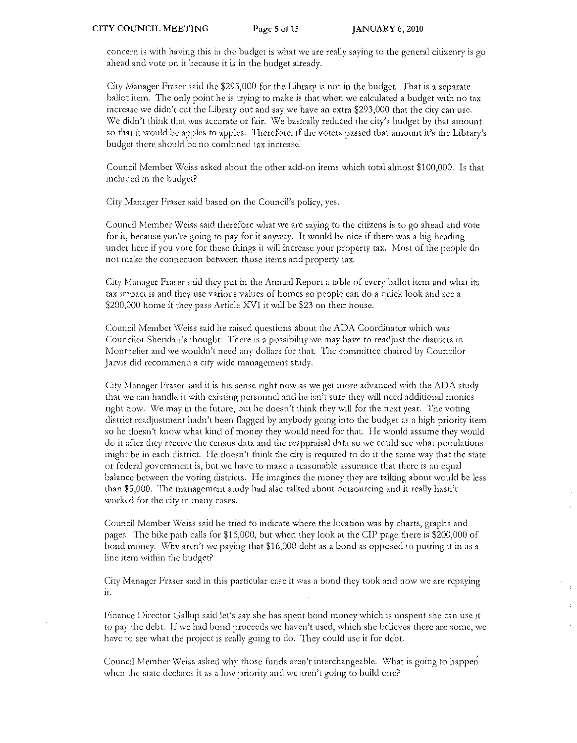concern is with having this in the budget is what we arc really saying to the general citizenry is go ahead and vote on it because it is in the budget alteady.

City Manager Fraser said the \$293,000 for the Library is not in the budget. That is a separate ballot item. The only point he is trying to make is that when we calculated a budget with no tax inctcasc we didn't cut the Library out and say we have an extra \$293,000 that the city can usc. We didn't think that was accurate or fair. We basically reduced the city's budget by that amount so that it would be apples to apples. Therefore, if the voters passed tbat amount it's the Library's budget there should be no combined tax increase.

Council Member Weiss asked about the other add-on items which total almost \$100,000. Is that included in the budget?

City Manager Fraser said based on the Council's policy, yes.

Council Member Weiss said therefore what we are saying to the citizens is to go ahead and vote for it, because you're going to pay for it anyway. It would be nice if there was a big heading under here if you vote for these things it will increase your property tax. Most of the people do not make the connection between those items and property tax.

City Manager Fraser said they put in the Annual Report a table of every ballot item and what its tax impact is and they use various values of homes so people can do a quick look and see a \$200,000 home if they pass Article XVI it will be \$23 on their house.

Council Member Weiss said he raised questions about the ADA Coordinator which was Councilor Sheridan's thought. There is a possibility we may have to readjust the districts in Montpelier and we wouldn't need any dollars for that. The committee chaired by Councilor Jarvis did recommend a city wide management study.

City Manager Fraser said it is his sense right now as we get more advanced with the ADA study that we can handle it with existing personnel and he isn't surc they will need additional monies right now. We may in the future, but he doesn't think they will for the next year. The voting district readjustment hadn't been flagged by anybody going into the budget as a high priority item so he doesn't know what kind of money they would need for that. He would assume they would do it after they receive the census data and the reappraisal data so we could see what populations might be in each district. He doesn't think the city is required to do it the same way that the state or federal government is, but we have to make a reasonable assurance that there is an equal balance between the voting districts. He imagines the money they are talking about would be less than \$5,000. The management study had also talked about outsourcing and it really hasn't worked for the city in many cases.

Council Member Weiss said he tried to indicate where the location was by charts, graphs and pages. The bike path calls for \$16,000, but when they look at the CIP page there is \$200,000 of bond money. Why aren't we paying that \$16,000 debt as a bond as opposed to putting it in as a line item within the budget?

City Manager Fraser said in this particular case it was a bond they took and now we are repaying it.

 $\mathbb{P}_{\geq 1}$ 

Finance Director Gallup said let's say she has spent bond money which is unspent she can use it to pay the debt. If we had bond proceeds we haven't used, which she believes there are some, we have to see what the project is really going to do. They could use it for debt.

Council Member Weiss asked why those funds aren't interchangeable. What is going to happen when the state declares it as a low priority and we aren't going to build one?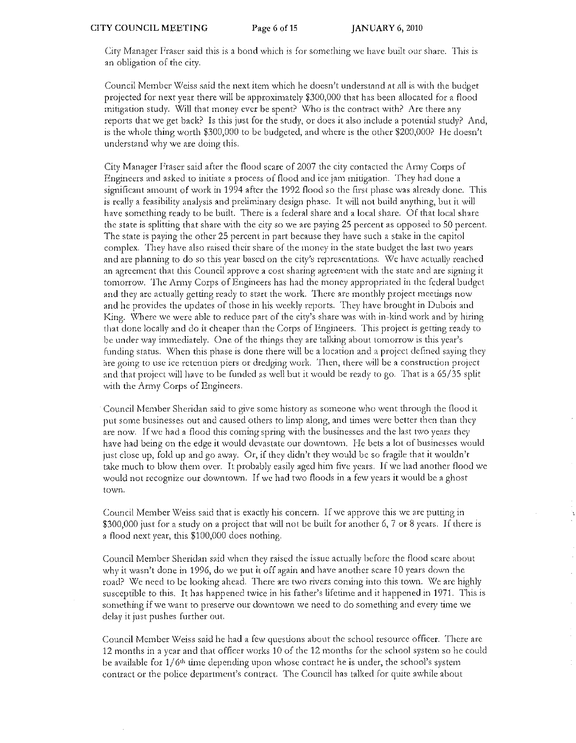City Manager Fraser said this is a bond which is for something we have built our share. This is an obligation of the city.

Council Member Weiss said the next item which he doesn't understand at all is with the budget projected for next year there will be approximately \$300,000 that has been allocated for a flood mitigation study. Will that money ever be spent? Who is the contract with? Are there any reports that we get back? Is this just for the study, or does it also include a potential study? And, is the whole thing worth \$300,000 to be budgeted, and where is the other \$200,000? He doesn't understand why we are doing this,

City Manager Fraser said after the flood scare of 2007 the city contacted the Army Corps of Engineers and asked to initiate a process of flood and icc jam mitigation. They had done a significant amount of work in 1994 after the 1992 flood so the first phase was already done. This is really a feasibility analysis and preliminary design phase. It will not build anything, but it will have something ready to be built. There is a federal share and a local share. Of that local share the state is splitting that share with the city so we arc paying 25 percent as opposed to 50 percent. The state is paying the other 25 percent in part because they have such a stake in the capitol complex. They have also raised their share of the money in the state budget the last two years and are planning to do so this year based on the city's representations. We have actually reached an agreement that this Council approve a cost sharing agreement with the state and arc signing it tomorrow. The Army Corps of Engineers has had the money appropriated in the federal budget and they are actually getting ready to start the work. There arc monthly project meetings now and he provides the updates of those in his weekly reports. They have brought in Dubois and King. Where we were able to reduce part of the city's share was with in-kind work and by hiring that done locally and do it cheaper than the Corps of Engineers. This project is getting ready to be under way immediately. One of the things they are talking about tomorrow is this year's funding status. When this phase is done there will be a location and a project defined saying they are going to use ice retention piers or dredging work. Then, there will be a construction project and that project will have to be funded as well but it would be ready to go. That is a 65/35 split with the Army Corps of Engineers.

Council Member Sheridan said to give some history as someone who went through the flood it put some businesses out and caused others to limp along, and times were better then than they are now. If we had a flood this coming spring with the businesses and the last two years they have had being on the edge it would devastate our downtown. He bets a lot of businesses would just close up, fold up and go away. Or, if they didn't they would be so fragile that it wouldn't take much to blow them over. It probably easily aged him five years. If we had another flood we would not recognize our downtown. If we had two floods in a few years it would be a ghost town.

Council Member Weiss said that is exactly his concern. If we approve this we are putting in \$300,000 just for a study on a project that will not be built for another 6, 7 or 8 years. If there is a flood next year, this \$100,000 does nothing.

Council Member Sheridan said when they raised the issue actually before the flood scare about why it wasn't done in 1996, do we put it off again and have another scare 10 years down the road? \Y'/e need to be looking ahead. There arc two rivers coming into this town. *\\le* arc highly susceptible to this. It has happened twice in his father's lifetime and it happened in 1971. This is something if we want to preserve our downtown we need to do something and evety time we dclay it just pushes further out:.

Council Member Weiss said he had a few questions about the school resource officer. There are 12 months in a year and that officer works 10 of the 12 months for the school system so he could be available for  $1/6<sup>th</sup>$  time depending upon whose contract he is under, the school's system contract or the police department's contract. The Council has talked for quite awhile about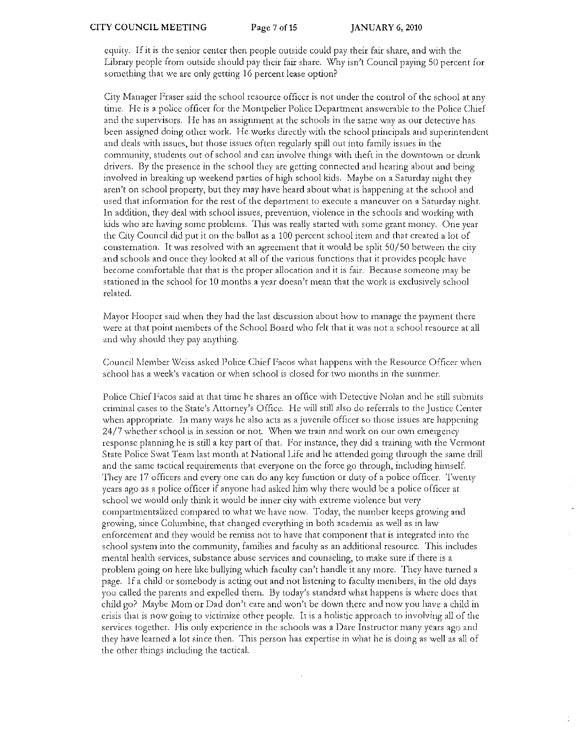equity. If it is the senior center then people outside could pay their fair share, and with the Library people from outside should pay their fair share. Why isn't Council paying 50 percent for something that we are only getting 16 percent lease option?

City Manager Fraser said the school resource officer is not under the control of the school at any time. He is a police officer for the Montpelier Police Department answerable to the Police Chief and the supervisors. He has an assignment at the schools in the same way as our detective has been assigned doing other work. He works directly with the school principals and superintendent and deals with issues, but those issues often regularly spill out into family issues in the community, students out of school and can involve things with theft in the downtown or drunk drivers. By the presence in the school they are getting connected and hearing about and being involved in breaking up weekend parties of high school kids. Maybe on a Saturday night they aren't on school property, but they may have heard about what is happening at the school and used that information for the rest of the department to execute a maneuver on a Saturday night. In addition, they deal with school issues, prevention, violence in the schools and working with kids who are having some problems. This was really started with some grant money. One year the City Council did put it on the ballot as a 100 percent school item and that created a lot of consternation. It was resolved with an agreement that it would be split 50/50 between the city and schools and once they looked at all of the various functions that it provides people have become comfortable that that is the proper allocation and it is fair. Because someone may be stationed in the school for 10 months a year doesn't mean that the work is exclusively school related.

. Mayor Hooper said when they had the last discussion about how to manage the payment there were at that point members of the School Board who felt that it was not a school resource at all and why should they pay anything.

Council Member Weiss asked Police Chief Facos what happens with the Resource Officer when school has a week's vacation or when school is closed for two months in the summer.

Police Chief Facos said at that time he shares an office with Detective Nolan and he still submits criminal cases to the State's Attorney's Office. He will still also do referrals to the Justicc Center whcn appropriate. In many ways he also acts as a juvenile officer so those issues are happening 24/7 whether school is in session or not. \Xlhen we train and work on our own emergency response planning he is still a key part of that. For instance, they did a training with the Vermont State Police Swat Team last month at National Life and he attended going through the same drill and the same tactical requirements that everyone on the force go through, including himself. They are 17 officers and every one can do any key function or duty of a police officer. Twenty years ago as a police officer if anyone had asked him why there would be a police officer at school we would only think it would be inner city with extreme violence but very compartmentalized compared to what we have now. Today, the number keeps growing and growing, since Columbine, that changed everything in both academia as \ve11 as in law enforcement and they would be remiss not to have that component that is integrated into the school system into the community, families and faculty as an additional resource. This includes mental health services, substance abuse services and counseling, to make sure if there is a problem going on here like bullying which faculty can't handle it any more. They have turned a page. If a child 01: somebody is acting out and not listening to faculty members, in the old days you called the parents and expelled them. By today's standard what happens is where does that child go? Maybe Mom or Dad don't care and won't be down there and now you have a child in crisis that is now going to victimize other people. It is a holistic approach to involving all of the services together. His only experience in the schools was a Dare Instructor many years ago and they have learned a lot since then. This person has expertise in what he is doing as well as all of the other things including the tactical.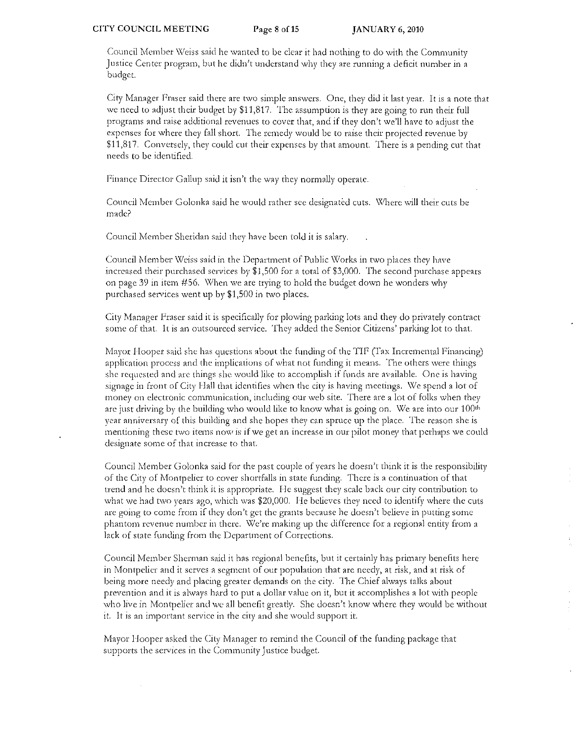Council Member Weiss said he wanted to be clear it had nothing to do with the Community Justice Center program, but he didn't understand why they arc running a deficit number in a budget.

City Manager Fraser said there are two simple answers. One, they did it last year. It is a note that we need to adjust their budget by \$11,817. The assumption is they are going to run their full programs and raise additional revenues to cover that, and if they don't we'll have to adjust the expenses for where they fall short. The remedy would be to raise their projected revenue by \$11,817. Convetsely, they could cut their expenses by that amount. There is a pending cut that needs to be identified.

Finance Director Gallup said it isn't the way they normally operate.

Council Member Golonka said he would rather see designated cuts. Where will their cuts be made?

Council Member Sheridan said they have been told it is salary.

Council Member Weiss said in the Department of Public Works in two places they have increased their purchased services by  $$1,500$  for a total of  $$3,000$ . The second purchase appears on page 39 in item #56. When we are trying to hold the budget down he wonders why purchased services went up by \$1,500 in two places.

City Manager Fraser said it is specifically for plowing parking lots and they do privately contract some of that. It is an outsourced service, They added the Senior Citizens' parking lot to that.

Mayor Hooper said she has questions about the funding of the TIF (Fax Incremental Financing) application process and the implications of what not funding it means. The others were things she requested and are things she would like to accomplish if funds are available. One is having signage in front of City Hall that identifies when the city is having meetings. We spend a lot of money on electronic communication, including our web site. There are a lot of folks when they are just driving by the building who would like to know what is going on. We are into our  $100<sup>th</sup>$ year anniversary of this building and she hopes they can spruce up the place. The reason she is mentioning these two items now is if we get an increase in our pilot money that perhaps we could designate some of that increase to that.

Council Member Golonka said for the past couple of years he doesn't think it is the responsibility of the City of Montpelier to cover shortfalls in state funding. There is a continuation of that trend and he doesn't think it is appropriate. He suggest they scale back our city contribution to what we had two years ago, which was \$20,000. He believes they need to identify where the cuts are going to come from if they don't get the grants because he doesn't believe in putting some phantom revenue number in there. \\le're making up the difference for a regional entity from a lack of state funding from the Department of Corrections.

Council Member Sherman said it has regional benefits, but it certainly has primary benefits here in Montpelier and it serves a segment of our population that are needy, at risk, and at risk of being more needy and placing greater demands on the city. The Chief always talks about prevention and it is always hard to put a dollar value on it, but it accomplishes a lot with people who live in Montpelier and we all benefit greatly. She doesn't know where they would be without it. ll' is an important service in the city and she would support it.

Mayor Hooper asked the City Manager to remind the Council of the funding package that supports the services in the Community Justice budget.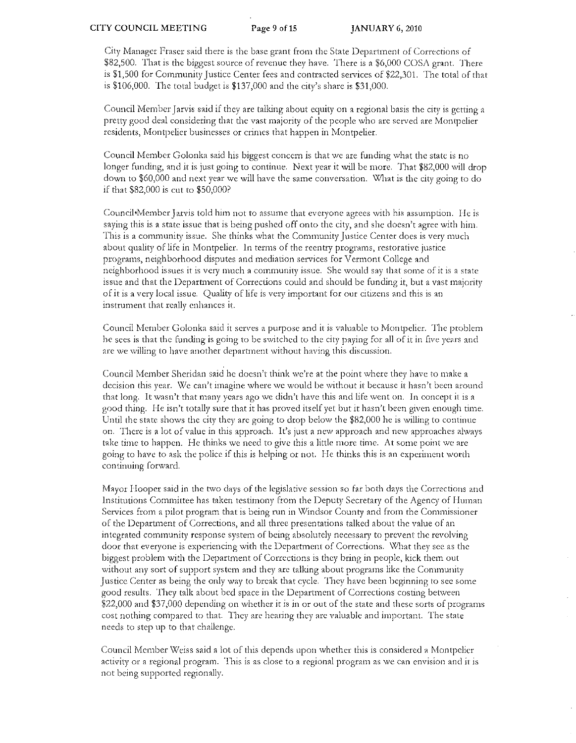City Manager Fraser said there is the base grant from the State Department of Corrections of  $$82,500.$  That is the biggest source of revenue they have. There is a  $$6,000$  COSA grant. There is \$1,500 for Community Justice Center fees and contracted services of \$22,301. The lotal of that is  $$106,000$ . The total budget is  $$137,000$  and the city's share is  $$31,000$ .

Council Member Jarvis said if they are talking about equity on a regional basis the city is getting a pretty good deal considering that the vast majority of the people who are served are Montpelier residents, Montpelier businesses or crimes that happen in Montpelier.

Council Member Golonka said his biggest concern is that we are funding what the state is no longer funding, and it is just going to continue. Next year it will be more. That \$82,000 will drop down to \$60,000 and next year we will have the same conversation. What is the city going to do if that \$82,000 is cut to \$50,000'

Council<sup>-</sup>Member Jarvis told him not to assume that everyone agrees with his assumption. He is saying this is a state issue that is being pushed off onto the city, and she doesn't agree with him. This is a community issue. She thinks what the Community Justice Center docs is very much about quality of life in Montpelier. In terms of the reentry programs, restorative justice progtams, neighborhood disputes and mediation services for Vermont College and neighborhood issues it is very much a community issue. She would say that some of it is a state issue and that the Department of Corrections could and should be funding it, but a vast majority of it is a very local issue. Quality of life is very important for our citizens and this is an instrument that really enhances it.

Council Member Golonka said it serves a purpose and it is valuable to Montpelier. The problem he sees is that the funding is going to be s\vitched to the city paying for all of it in five years and are we willing to have another department without having this discussion.

Council Member Sheridan said he doesn't think we're at the point where they have to make a decision this year. We can't imagine where we would be without it because it hasn't been around that long, It wasn't that many years ago we didn't have this and life went on. In concept it is a good thing. He isn't totally sure that it has proved itself yet but it hasn't been given enough time. Until the state shows the city they arc going to drop below the \$82,000 he is willing to continue on, There is a lot of value in this approach, It's just a new approach and new approaches always take time to happen. He thinks we need to give this a little more time. At some point we are going to have to ask the police if this is helping or not. I-Ie thinks this is an experiment worth continuing forward.

Mayor Hooper said in the two days of the legislative session so far both days the Corrections and Institutions Committee has taken testimony from the Deputy Secretary of the Agency of Human Services from a pilot program that is being run in Windsor County and from the Commissioner of the Department of Corrections, and all three presentations talked about the value of an integrated community response system of being absolutely necessary to prevent the revolving door that everyone is experiencing with the Department of Corrections, \X/hat they see as the biggest problem with the Department of Corrections is they bring in people, kick them out without any sort of support system and they are talking about programs like the Community Justice Center as being the only way to break that cycle. They have been beginning to sec some good results. They talk about bed space in the Department of Corrections costing between  $$22,000$  and  $$37,000$  depending on whether it is in or out of the state and these sorts of programs cost nothing compared to that. They are hearing they are valuable and important. The state needs to step up to that challenge.

Council Member Weiss said a lot of this depends upon whether this is considered a Montpelier activity or a regional program. This is as close to a regional program as we can envision and it is not being supported regionally.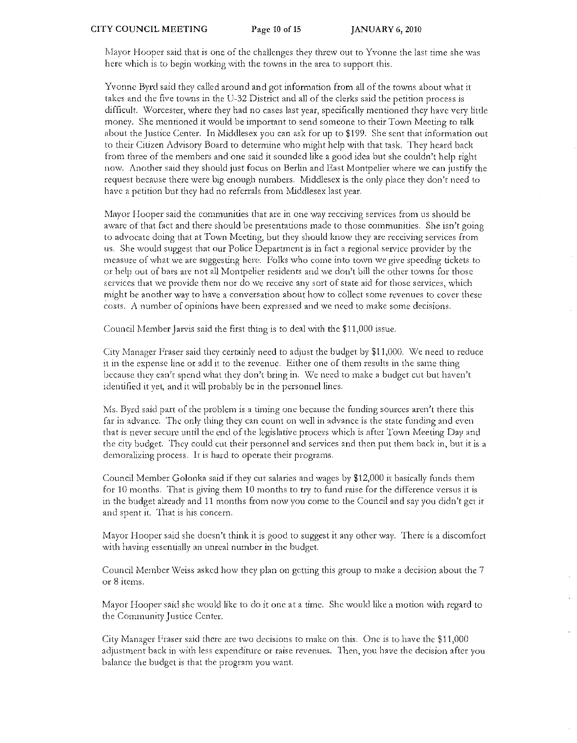Mayor Hooper said that is one of the challenges they threw out to Yvonne the last time she was here which is to begin working with the towns in the area to support this.

Yvonne Byrd said they called around and got information from all of the towns about what it takes and the five towns in the U-32 District and all of the clerks said the petition process is difficult. Worcester, where they had no cases last year, specifically mentioned they have very little money. She mentioned it would be important to send someone to their Town Meeting to talk about the Justice Center. In Middlesex you can ask for up to \$199. She sent that information out to their Ciuzcn Advisory Board to determine who might help with that task. They heard back from three of the members and one said it sounded like a good idea but she couldn't help right now. Another said they should just focus on Berlin and East Montpelier where we can justify the request because there were big enough numbers. Middlesex is the only place they don't need to have a petition but they had no referrals from Middlesex last year.

Mayor Hooper said the communities that are in one way receiving services from us should be aware of that fact and there should be presentations made to those communities. She isn't going to advocatc doing that at Town Meeting, but they should know they are receiving services from us. She would suggest that our Police Department is in fact a regional service provider by the measure of what we are suggesting here. Folks who come into town we give speeding tickets to or help out of bars are not all Montpelier residents and we don't bill the other towns for those serviccs that we provide them nor do we receive any sort of state aid for those services, which might be another way to have a conversation about how to collect some revenucs to cover these costs. A number of opinions have been expressed and we need to make some decisions.

Council Member Jarvis said the first thing is to deal with the \$11,000 issue.

City Manager Fraser said they certainly need to adjust the budget by \$11,000. We need to reduce it in the expense line or add it to the revenue. Either one of them results in the same thing because they can't spend what they don't bring in. We need to make a budget cut but haven't identified it yet, and it will probably be in the personnel lines.

Ms. Byrd said part of the problem is a timing one because the funding sources aren't there this far in advance. The only thing they can count on well in advance is the state funding and even that is ncver secure until the end of the legislative process which is after Town Meeting Day and the city budget. They could cut theit pe:rsonnei and services and then put them back in, but it is a demoralizing process. It is hard to operate their programs.

Council Mcmber Golonka said if they cut salaries and wages by \$12,000 it basically funds them for 10 months. That is giving them 10 months to try to fund raise for the difference versus it is in the budget already and 11 months from now you come to the Council and say you didn't get it and spent it. That is his concern.

Mayor Hooper said she doesn't think it is good to suggest it any other way. There is a discomfort with having essentially an unreal number in the budget.

Council Member Weiss asked how they plan on getting this group to make a decision about the 7 or 8 items.

Mayor Hooper said she would like to do it one at a time. She would like a motion with regard to the Community Justice Center.

City Manager Fraser said there arc two decisions to make on this. One is to have the \$11,000 adjustment back in with less expenditure or raise revenues. Then, you have the decision aftet you balance thc budget is that the program you want.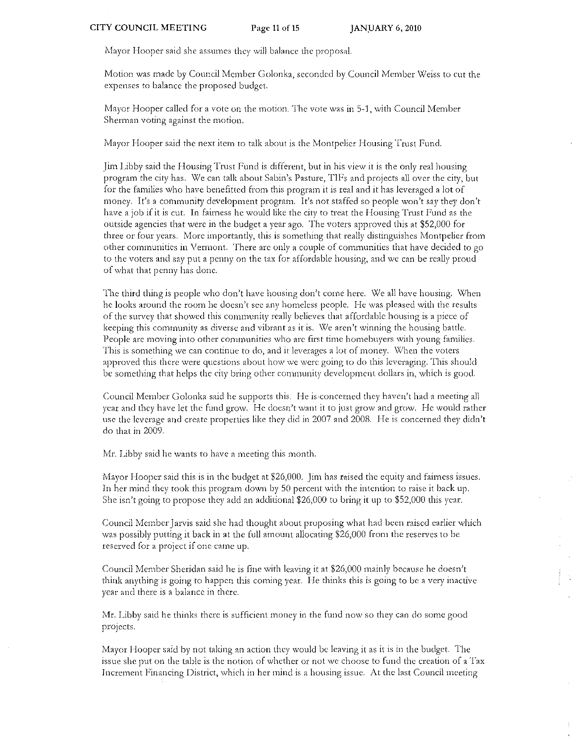Mayor Hooper said she assumes they will balance the proposal.

Motion was made by Council Member Golonka, seconded by Council Member Weiss to cut the expenses to balance the proposed budget.

Mayor Hooper called for a vote on the motion. The vote was in  $5-1$ , with Council Member Sherman voting against the motion.

Mayor Hooper said the next item to talk about is the Montpelier Housing Trust Fund.

Jim Libby said the Housing Trust Fund is different, but in his view it is the only real housing program the city has. *\'lie* can talk about Sabin's Pasture, TIPs and projects all over the city, but for the families who have benefitted from this program it is real and it has leveraged a lot of money. It's a community development program. It's not staffed so people won't say they don't have a job if it is cut. In fairness he would like the city to treat the Housing Trust Fund as the outside agencies that were in the budget a year ago. The voters approved this at \$52,000 for three or four years. More importantly, this is something that really distinguishes Montpelier from other communities in Vermont. There are only a couple of communities that have decided to go to the voters and say put a penny on the tax for affordable housing, and we can be really proud of what that penny has done.

The third thing is people who don't have housing don't come here. We all have housing, When he looks around the room he doesn't see any homeless people. He was pleased with the results of the survey that showed this community really believes that affordable housing is a piece of keeping this community as diverse and vibrant as it is. We aren't winning the housing battle. People are moving into other communities who are first time homebuyers with young families. This is something we can continue to do, and it leverages a lot of money. When the voters approved this there were questions about how we were going to do this leveraging. This should be something that helps the city bring other community development dollars in, which is good.

Council Member Golonka said he supports this. He is concerned they haven't had a meeting all year and they have let the fund grow. He doesn't want it to just grow and grow. He would rather use the leverage and create properties like they did in 2007 and 2008. He is concerned they didn't do that in 2009,

Mr. Libby said he wants to have a meeting this month.

Mayor Hooper said this is in the budget at  $$26,000$ . Jim has raised the equity and fairness issues. In her mind they took this program down by 50 percent with the intention to raise it back up. She isn't going to propose they add an additional \$26,000 to bring it up to \$52,000 this year,

Council Member Jarvis said she had thought about proposing what had been raised earlier which was possibly putting it back in at the full amount allocating \$26,000 from the reserves to be reserved for a project if one came up.

Council Member Sheridan said he is fine with leaving it at \$26)000 mainly because he doesn)t think anything is going to happen this coming year. He thinks this is going to be a very inactive year and there is a balance in there.

:Mr. Libby said he thinks there is sufficient money in the fund now so they can do some good projects.

Mayor Hooper said by not taking an action they would be leaving it as it is in the budget. The issue she put on the table is the notion of whether or not we choose to fund the creation of a Tax Increment Financing District, which in her mind is a housing issue. At the last Council meeting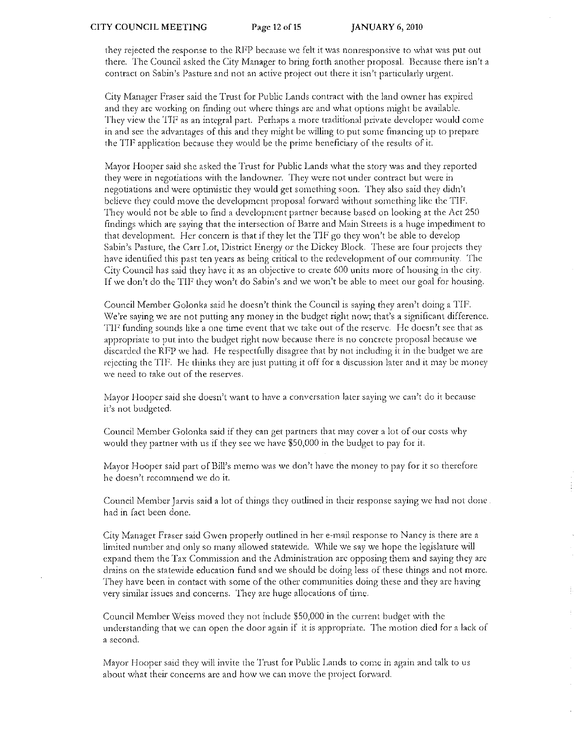they rejected the response to the RF'P because we felt it was nonresponsive to what' was put out there. The Council asked the City Manager to bring forth another proposal. Because there isn't a contract on Sabin's Pasture and not an active project out there it isn't particularly urgent.

City Manager Fraser said the Trust for Public Lands contract with the land owner has expired and they arc working on finding out where things arc and what options might be available. They view the TIP as an integral part. Perhaps a more traditional private developer would come in and sec the advantages of this and they might be willing to put some financing up to prepare the TIF application because they would be the prime beneficiary of the results of it.

Mayor Hooper said she asked the Trust for Public Lands what the story was and they reported they were in negotiations with the landowner. They were not under contract but were in negotiations and were optimistic they would get something soon. They also said they didn't bebeve they could move the development proposal forward without something like the TIF. They would not be able to find a development partner because based on looking at the Act 250 findings which are saying that the intersection of Barre and Main Streets is a huge impediment to that development. Her concern is that if they let the TIF go they won't be able to develop Sabin's Pasture, the Carr Lot, District Energy or the Dickey Block. These are four projects they have identified this past ten years as being critical to the redevelopmcnt of out community. The City Council has said they have it as an objective to create 600 units more of housing in the city. If we don't do the TIF they won't do Sabin's and we won't be able to meet our goal for housing.

Council Member Golonka said hc doesn't think the Council is saying they aren't doing a TIP. We're saying we are not putting any money in the budget right now; that's a significant difference. TIF funding sounds like a one time event that we take out of the reserve. He doesn't see that as appropriate to put into the budget right now because there is no concrete proposal because we discarded the RFP we had. He respectfully disagree that by not including it in the budget we are rejecting the TIF. He thinks they are just putting it off for a discussion later and it may be money we need to take out of the reserves.

Mayor Hooper said she doesn't want to have a conversation later saying we can't do it because it's not budgeted.

Council Member Golonka said if they can get partners tint may cover a lot of our costs why would they partner with us if they see we have \$50,000 in the budget to pay for it.

Mayor Hooper said part of Bill's memo was we don't have the money to pay for it so therefore he doesn't recommend we do it.

Council Member Jarvis said a lot of things they outlined in their response saying we had not done. had in fact been done.

City Manager Fraser said Gwen properly outlined in her e-mail response to Nancy is there are a limited number and only so many allowed statewide. \X/hile we say we hope the legislature wilJ expand them the Tax Commission and the Administration arc opposing them and saying they are drains on the statewide education fund and we should be doing less of these things and not more. They have been in contact with some of the other communities doing these and they are having very similar issues and concerns. They are huge allocations of time.

Council Member Weiss moved they not include \$50,000 in the current budget with the understanding that we can open the door again if it is appropriate. The motion died for a lack of a sccond.

Mayor Hooper said they will invite the Trust for Public Lands to come in again and talk to us about what their concerns arc and how we can move the project forward.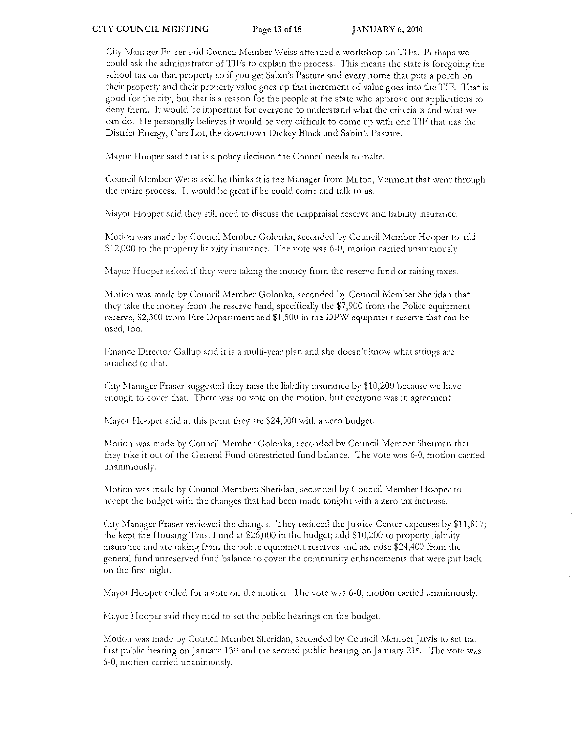City Manager Fraser said Council Member Weiss attended a workshop on TIFs. Perhaps we could ask the administrator of TIFs to explain the process. This means the state is foregoing the school tax on that property so if you get Sabin's Pasture and every home that puts a porch on their property and their property value goes up that increment of value goes into the TIF. That is good for the city, but that is a reason for the people at the state who approve our applications to deny them. It would be important for everyone to understand what the criteria is and what we can do. He personally believes it would be very difficult to come up with one TIF that has the District Energy, Carr Lot, the downtown Dickey Block and Sabin's Pasture.

Mayor Hooper said that is a policy decision the Council needs to make.

Council Member Weiss said he thinks it is the Manager from Milton, Vermont that went through the entire process. It would be great if he could come and talk to us,

Mayor Hooper said they still need to discuss the reappraisal reserve and liability insurance.

Motion was made by Council Member Golonka, seconded by Council Member Hooper to add \$12,000 to the property liability insurance. The vote was 6-0, motion carried unanimously.

Mayor Hooper asked if they were taking the money from the reserve fund or raising taxes.

Motion was made by Council Member Golonka, seconded by Council Member Sheridan that they take the money from the reserve fund, specifically the  $$7,900$  from the Police equipment reserve, \$2,300 from Fire Department and \$1,500 in the DPW equipment reserve that can be used, too.

Finance Director Gallup said it is a multi-year plan and she doesn't know what strings are attached to that.

City Manager Fraser suggested they raise the liability insurance by \$10,200 because we have enough to cover that. There was no vote on the motion, but everyone was in agreement.

Mayor Hooper said at this point they are \$24,000 with a zero budget.

Motion was made by Council Member Golonka, seconded by Council Member Sherman that they take it out or the Ceneral Fund unrestricted fund balance. The vote was 6-0) motion carried unanimously.

Motion was made by Council Members Sheridan, seconded by Council Member Hooper to accept the budget with the changes that had been made tonight with a zero tax increase.

City Manager Fraser reviewed the changes. They reduced the Justice Center expenses by \$11,817; the kept the Housing Trust Fund at \$26,000 in the budget; add \$10,200 to property liability insurance and are taking from the police equipment reserves and are raise \$24,400 from the general fund unreserved fund balance to cover the community enhancements that were put back on the first night.

Mayor Hooper called for a vote on the motion. The vote was 6-0, motion carried unanimously.

Mayor Hooper said they need to set the public hearings on the budget.

Motion was made by Council Member Sheridan, seconded by Council Member Jarvis to set the first public hearing on January  $13<sup>th</sup>$  and the second public hearing on January  $21<sup>st</sup>$ . The vote was 6-0) motion carried unanimously,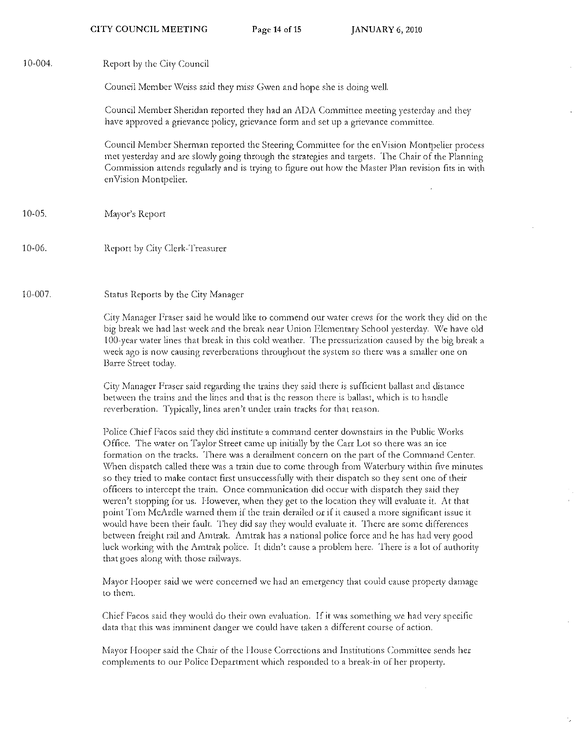| 10-004.   | Report by the City Council                                                                                                                                                                                                                                                                                                                                                                                                                                                                                                                                                                                                                                                                                                                                                                                                                                                                                                                                                                                                                                                                                                               |
|-----------|------------------------------------------------------------------------------------------------------------------------------------------------------------------------------------------------------------------------------------------------------------------------------------------------------------------------------------------------------------------------------------------------------------------------------------------------------------------------------------------------------------------------------------------------------------------------------------------------------------------------------------------------------------------------------------------------------------------------------------------------------------------------------------------------------------------------------------------------------------------------------------------------------------------------------------------------------------------------------------------------------------------------------------------------------------------------------------------------------------------------------------------|
|           | Council Member Weiss said they miss Gwen and hope she is doing well.                                                                                                                                                                                                                                                                                                                                                                                                                                                                                                                                                                                                                                                                                                                                                                                                                                                                                                                                                                                                                                                                     |
|           | Council Member Sheridan reported they had an ADA Committee meeting yesterday and they<br>have approved a grievance policy, grievance form and set up a grievance committee.                                                                                                                                                                                                                                                                                                                                                                                                                                                                                                                                                                                                                                                                                                                                                                                                                                                                                                                                                              |
|           | Council Member Sherman reported the Steering Committee for the enVision Montpelier process<br>met yesterday and are slowly going through the strategies and targets. The Chair of the Planning<br>Commission attends regularly and is trying to figure out how the Master Plan revision fits in with<br>enVision Montpelier.                                                                                                                                                                                                                                                                                                                                                                                                                                                                                                                                                                                                                                                                                                                                                                                                             |
| $10-05$ , | Mayor's Report                                                                                                                                                                                                                                                                                                                                                                                                                                                                                                                                                                                                                                                                                                                                                                                                                                                                                                                                                                                                                                                                                                                           |
| 10-06.    | Report by City Clerk-Treasurer                                                                                                                                                                                                                                                                                                                                                                                                                                                                                                                                                                                                                                                                                                                                                                                                                                                                                                                                                                                                                                                                                                           |
| 10-007.   | Status Reports by the City Manager                                                                                                                                                                                                                                                                                                                                                                                                                                                                                                                                                                                                                                                                                                                                                                                                                                                                                                                                                                                                                                                                                                       |
|           | City Manager Fraser said he would like to commend our water crews for the work they did on the<br>big break we had last weck and the break near Union Elementary School yesterday. We have old<br>100-year water lines that break in this cold weather. The pressurization caused by the big break a<br>week ago is now causing reverberations throughout the system so there was a smaller one on<br>Barre Street today.                                                                                                                                                                                                                                                                                                                                                                                                                                                                                                                                                                                                                                                                                                                |
|           | City Manager Fraser said regarding the trains they said there is sufficient ballast and distance<br>between the trains and the lines and that is the reason there is ballast, which is to handle<br>reverberation. Typically, lines aren't under train tracks for that reason.                                                                                                                                                                                                                                                                                                                                                                                                                                                                                                                                                                                                                                                                                                                                                                                                                                                           |
|           | Police Chief Facos said they did institute a command center downstairs in the Public Works<br>Office. The water on Taylor Street came up initially by the Carr Lot so there was an ice<br>formation on the tracks. There was a derailment concern on the part of the Command Center.<br>When dispatch called there was a train due to come through from Waterbury within five minutes<br>so they tried to make contact first unsuccessfully with their dispatch so they sent one of their<br>officers to intercept the train. Once communication did occur with dispatch they said they<br>weren't stopping for us. However, when they get to the location they will evaluate it. At that<br>point Tom McArdle warned them if the train derailed or if it caused a more significant issue it<br>would have been their fault. They did say they would evaluate it. There are some differences<br>between freight rail and Amtrak. Amtrak has a national police force and he has had very good<br>luck working with the Amtrak police. It didn't cause a problem here. There is a lot of authority<br>that goes along with those railways. |
|           | Mayor Hooper said we were concerned we had an emergency that could cause property damage<br>to them.                                                                                                                                                                                                                                                                                                                                                                                                                                                                                                                                                                                                                                                                                                                                                                                                                                                                                                                                                                                                                                     |
|           | Chief Facos said they would do their own evaluation. If it was something we had very specific<br>data that this was imminent danger we could have taken a different course of action.                                                                                                                                                                                                                                                                                                                                                                                                                                                                                                                                                                                                                                                                                                                                                                                                                                                                                                                                                    |
|           | Mayor Hooper said the Chair of the House Corrections and Institutions Committee sends her<br>complements to our Police Department which responded to a break-in of her property.                                                                                                                                                                                                                                                                                                                                                                                                                                                                                                                                                                                                                                                                                                                                                                                                                                                                                                                                                         |